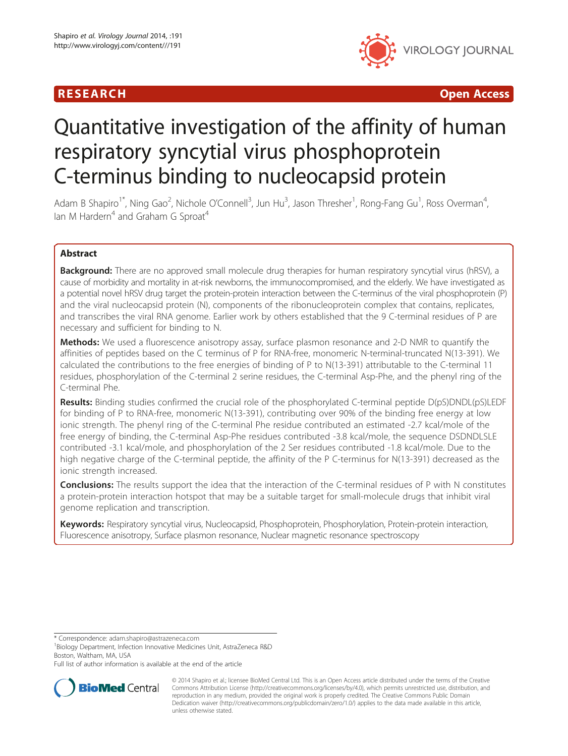# R E S EAR CH Open Access



# Quantitative investigation of the affinity of human respiratory syncytial virus phosphoprotein C-terminus binding to nucleocapsid protein

Adam B Shapiro<sup>1\*</sup>, Ning Gao<sup>2</sup>, Nichole O'Connell<sup>3</sup>, Jun Hu<sup>3</sup>, Jason Thresher<sup>1</sup>, Rong-Fang Gu<sup>1</sup>, Ross Overman<sup>4</sup> , Ian M Hardern<sup>4</sup> and Graham G Sproat<sup>4</sup>

# Abstract

**Background:** There are no approved small molecule drug therapies for human respiratory syncytial virus (hRSV), a cause of morbidity and mortality in at-risk newborns, the immunocompromised, and the elderly. We have investigated as a potential novel hRSV drug target the protein-protein interaction between the C-terminus of the viral phosphoprotein (P) and the viral nucleocapsid protein (N), components of the ribonucleoprotein complex that contains, replicates, and transcribes the viral RNA genome. Earlier work by others established that the 9 C-terminal residues of P are necessary and sufficient for binding to N.

Methods: We used a fluorescence anisotropy assay, surface plasmon resonance and 2-D NMR to quantify the affinities of peptides based on the C terminus of P for RNA-free, monomeric N-terminal-truncated N(13-391). We calculated the contributions to the free energies of binding of P to N(13-391) attributable to the C-terminal 11 residues, phosphorylation of the C-terminal 2 serine residues, the C-terminal Asp-Phe, and the phenyl ring of the C-terminal Phe.

Results: Binding studies confirmed the crucial role of the phosphorylated C-terminal peptide D(pS)DNDL(pS)LEDF for binding of P to RNA-free, monomeric N(13-391), contributing over 90% of the binding free energy at low ionic strength. The phenyl ring of the C-terminal Phe residue contributed an estimated -2.7 kcal/mole of the free energy of binding, the C-terminal Asp-Phe residues contributed -3.8 kcal/mole, the sequence DSDNDLSLE contributed -3.1 kcal/mole, and phosphorylation of the 2 Ser residues contributed -1.8 kcal/mole. Due to the high negative charge of the C-terminal peptide, the affinity of the P C-terminus for N(13-391) decreased as the ionic strength increased.

**Conclusions:** The results support the idea that the interaction of the C-terminal residues of P with N constitutes a protein-protein interaction hotspot that may be a suitable target for small-molecule drugs that inhibit viral genome replication and transcription.

Keywords: Respiratory syncytial virus, Nucleocapsid, Phosphoprotein, Phosphorylation, Protein-protein interaction, Fluorescence anisotropy, Surface plasmon resonance, Nuclear magnetic resonance spectroscopy

\* Correspondence: [adam.shapiro@astrazeneca.com](mailto:adam.shapiro@astrazeneca.com) <sup>1</sup>

<sup>1</sup>Biology Department, Infection Innovative Medicines Unit, AstraZeneca R&D Boston, Waltham, MA, USA

Full list of author information is available at the end of the article



© 2014 Shapiro et al.; licensee BioMed Central Ltd. This is an Open Access article distributed under the terms of the Creative Commons Attribution License [\(http://creativecommons.org/licenses/by/4.0\)](http://creativecommons.org/licenses/by/4.0), which permits unrestricted use, distribution, and reproduction in any medium, provided the original work is properly credited. The Creative Commons Public Domain Dedication waiver [\(http://creativecommons.org/publicdomain/zero/1.0/](http://creativecommons.org/publicdomain/zero/1.0/)) applies to the data made available in this article, unless otherwise stated.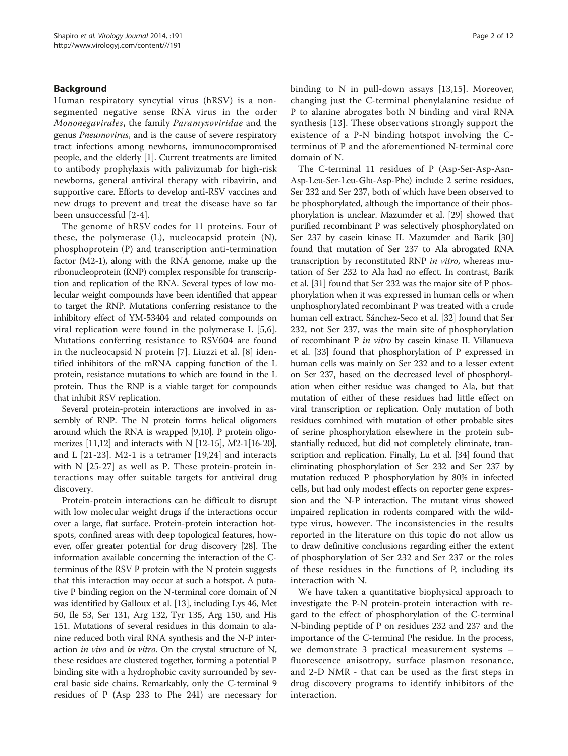#### Background

Human respiratory syncytial virus (hRSV) is a nonsegmented negative sense RNA virus in the order Mononegavirales, the family Paramyxoviridae and the genus Pneumovirus, and is the cause of severe respiratory tract infections among newborns, immunocompromised people, and the elderly [\[1\]](#page-10-0). Current treatments are limited to antibody prophylaxis with palivizumab for high-risk newborns, general antiviral therapy with ribavirin, and supportive care. Efforts to develop anti-RSV vaccines and new drugs to prevent and treat the disease have so far been unsuccessful [[2-4\]](#page-10-0).

The genome of hRSV codes for 11 proteins. Four of these, the polymerase (L), nucleocapsid protein (N), phosphoprotein (P) and transcription anti-termination factor (M2-1), along with the RNA genome, make up the ribonucleoprotein (RNP) complex responsible for transcription and replication of the RNA. Several types of low molecular weight compounds have been identified that appear to target the RNP. Mutations conferring resistance to the inhibitory effect of YM-53404 and related compounds on viral replication were found in the polymerase L [[5,6](#page-10-0)]. Mutations conferring resistance to RSV604 are found in the nucleocapsid N protein [[7\]](#page-10-0). Liuzzi et al. [\[8\]](#page-10-0) identified inhibitors of the mRNA capping function of the L protein, resistance mutations to which are found in the L protein. Thus the RNP is a viable target for compounds that inhibit RSV replication.

Several protein-protein interactions are involved in assembly of RNP. The N protein forms helical oligomers around which the RNA is wrapped [\[9,10](#page-10-0)]. P protein oligomerizes [[11,12\]](#page-10-0) and interacts with N [\[12](#page-10-0)-[15](#page-10-0)], M2-1[\[16-20](#page-10-0)], and L [[21-23](#page-10-0)]. M2-1 is a tetramer [[19,24](#page-10-0)] and interacts with N [[25-27](#page-11-0)] as well as P. These protein-protein interactions may offer suitable targets for antiviral drug discovery.

Protein-protein interactions can be difficult to disrupt with low molecular weight drugs if the interactions occur over a large, flat surface. Protein-protein interaction hotspots, confined areas with deep topological features, however, offer greater potential for drug discovery [[28](#page-11-0)]. The information available concerning the interaction of the Cterminus of the RSV P protein with the N protein suggests that this interaction may occur at such a hotspot. A putative P binding region on the N-terminal core domain of N was identified by Galloux et al. [[13](#page-10-0)], including Lys 46, Met 50, Ile 53, Ser 131, Arg 132, Tyr 135, Arg 150, and His 151. Mutations of several residues in this domain to alanine reduced both viral RNA synthesis and the N-P interaction *in vivo* and *in vitro*. On the crystal structure of N, these residues are clustered together, forming a potential P binding site with a hydrophobic cavity surrounded by several basic side chains. Remarkably, only the C-terminal 9 residues of P (Asp 233 to Phe 241) are necessary for binding to N in pull-down assays [[13,15](#page-10-0)]. Moreover, changing just the C-terminal phenylalanine residue of P to alanine abrogates both N binding and viral RNA synthesis [\[13](#page-10-0)]. These observations strongly support the existence of a P-N binding hotspot involving the Cterminus of P and the aforementioned N-terminal core domain of N.

The C-terminal 11 residues of P (Asp-Ser-Asp-Asn-Asp-Leu-Ser-Leu-Glu-Asp-Phe) include 2 serine residues, Ser 232 and Ser 237, both of which have been observed to be phosphorylated, although the importance of their phosphorylation is unclear. Mazumder et al. [[29](#page-11-0)] showed that purified recombinant P was selectively phosphorylated on Ser 237 by casein kinase II. Mazumder and Barik [[30](#page-11-0)] found that mutation of Ser 237 to Ala abrogated RNA transcription by reconstituted RNP in vitro, whereas mutation of Ser 232 to Ala had no effect. In contrast, Barik et al. [\[31](#page-11-0)] found that Ser 232 was the major site of P phosphorylation when it was expressed in human cells or when unphosphorylated recombinant P was treated with a crude human cell extract. Sánchez-Seco et al. [[32](#page-11-0)] found that Ser 232, not Ser 237, was the main site of phosphorylation of recombinant P in vitro by casein kinase II. Villanueva et al. [\[33](#page-11-0)] found that phosphorylation of P expressed in human cells was mainly on Ser 232 and to a lesser extent on Ser 237, based on the decreased level of phosphorylation when either residue was changed to Ala, but that mutation of either of these residues had little effect on viral transcription or replication. Only mutation of both residues combined with mutation of other probable sites of serine phosphorylation elsewhere in the protein substantially reduced, but did not completely eliminate, transcription and replication. Finally, Lu et al. [\[34\]](#page-11-0) found that eliminating phosphorylation of Ser 232 and Ser 237 by mutation reduced P phosphorylation by 80% in infected cells, but had only modest effects on reporter gene expression and the N-P interaction. The mutant virus showed impaired replication in rodents compared with the wildtype virus, however. The inconsistencies in the results reported in the literature on this topic do not allow us to draw definitive conclusions regarding either the extent of phosphorylation of Ser 232 and Ser 237 or the roles of these residues in the functions of P, including its interaction with N.

We have taken a quantitative biophysical approach to investigate the P-N protein-protein interaction with regard to the effect of phosphorylation of the C-terminal N-binding peptide of P on residues 232 and 237 and the importance of the C-terminal Phe residue. In the process, we demonstrate 3 practical measurement systems – fluorescence anisotropy, surface plasmon resonance, and 2-D NMR - that can be used as the first steps in drug discovery programs to identify inhibitors of the interaction.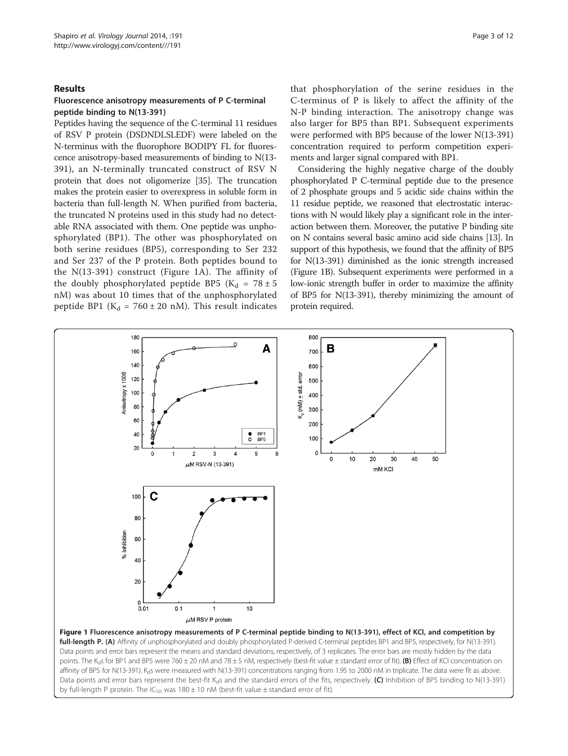#### <span id="page-2-0"></span>Results

#### Fluorescence anisotropy measurements of P C-terminal peptide binding to N(13-391)

Peptides having the sequence of the C-terminal 11 residues of RSV P protein (DSDNDLSLEDF) were labeled on the N-terminus with the fluorophore BODIPY FL for fluorescence anisotropy-based measurements of binding to N(13- 391), an N-terminally truncated construct of RSV N protein that does not oligomerize [\[35\]](#page-11-0). The truncation makes the protein easier to overexpress in soluble form in bacteria than full-length N. When purified from bacteria, the truncated N proteins used in this study had no detectable RNA associated with them. One peptide was unphosphorylated (BP1). The other was phosphorylated on both serine residues (BP5), corresponding to Ser 232 and Ser 237 of the P protein. Both peptides bound to the N(13-391) construct (Figure 1A). The affinity of the doubly phosphorylated peptide BP5 ( $K_d$  = 78 ± 5 nM) was about 10 times that of the unphosphorylated peptide BP1 ( $K_d$  = 760 ± 20 nM). This result indicates that phosphorylation of the serine residues in the C-terminus of P is likely to affect the affinity of the N-P binding interaction. The anisotropy change was also larger for BP5 than BP1. Subsequent experiments were performed with BP5 because of the lower N(13-391) concentration required to perform competition experiments and larger signal compared with BP1.

Considering the highly negative charge of the doubly phosphorylated P C-terminal peptide due to the presence of 2 phosphate groups and 5 acidic side chains within the 11 residue peptide, we reasoned that electrostatic interactions with N would likely play a significant role in the interaction between them. Moreover, the putative P binding site on N contains several basic amino acid side chains [[13\]](#page-10-0). In support of this hypothesis, we found that the affinity of BP5 for N(13-391) diminished as the ionic strength increased (Figure 1B). Subsequent experiments were performed in a low-ionic strength buffer in order to maximize the affinity of BP5 for N(13-391), thereby minimizing the amount of protein required.

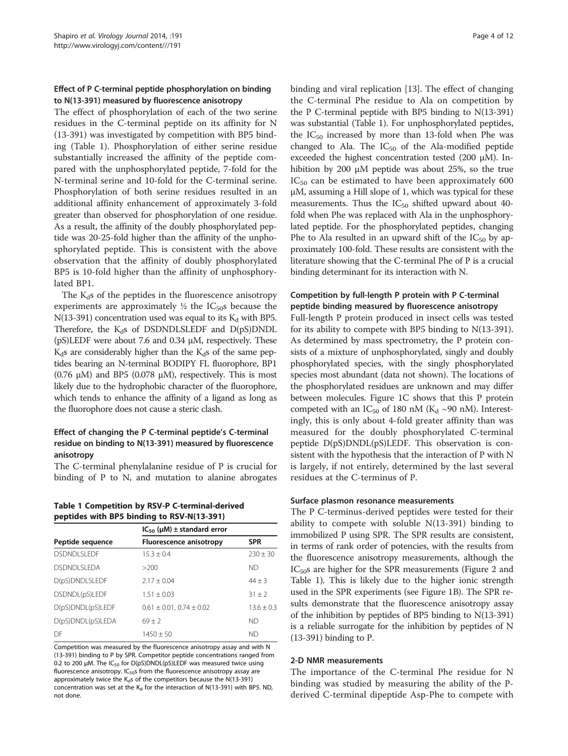#### <span id="page-3-0"></span>Effect of P C-terminal peptide phosphorylation on binding to N(13-391) measured by fluorescence anisotropy

The effect of phosphorylation of each of the two serine residues in the C-terminal peptide on its affinity for N (13-391) was investigated by competition with BP5 binding (Table 1). Phosphorylation of either serine residue substantially increased the affinity of the peptide compared with the unphosphorylated peptide, 7-fold for the N-terminal serine and 10-fold for the C-terminal serine. Phosphorylation of both serine residues resulted in an additional affinity enhancement of approximately 3-fold greater than observed for phosphorylation of one residue. As a result, the affinity of the doubly phosphorylated peptide was 20-25-fold higher than the affinity of the unphosphorylated peptide. This is consistent with the above observation that the affinity of doubly phosphorylated BP5 is 10-fold higher than the affinity of unphosphorylated BP1.

The  $K_d$ s of the peptides in the fluorescence anisotropy experiments are approximately  $\frac{1}{2}$  the IC<sub>50</sub>s because the N(13-391) concentration used was equal to its  $K_d$  with BP5. Therefore, the  $K_d$ s of DSDNDLSLEDF and  $D(pS)DNDL$ (pS)LEDF were about 7.6 and 0.34 μM, respectively. These  $K_d$ s are considerably higher than the  $K_d$ s of the same peptides bearing an N-terminal BODIPY FL fluorophore, BP1 (0.76  $\mu$ M) and BP5 (0.078  $\mu$ M), respectively. This is most likely due to the hydrophobic character of the fluorophore, which tends to enhance the affinity of a ligand as long as the fluorophore does not cause a steric clash.

#### Effect of changing the P C-terminal peptide's C-terminal residue on binding to N(13-391) measured by fluorescence anisotropy

The C-terminal phenylalanine residue of P is crucial for binding of P to N, and mutation to alanine abrogates

Table 1 Competition by RSV-P C-terminal-derived peptides with BP5 binding to RSV-N(13-391)

| $IC_{50}$ ( $\mu$ M) ± standard error |              |
|---------------------------------------|--------------|
| <b>Fluorescence anisotropy</b>        | <b>SPR</b>   |
| $15.3 + 0.4$                          | $230 \pm 30$ |
| >200                                  | ND           |
| $2.17 + 0.04$                         | $44 \pm 3$   |
| $1.51 \pm 0.03$                       | $31 + 2$     |
| $0.61 \pm 0.01$ , $0.74 \pm 0.02$     | $13.6 + 0.3$ |
| $69 + 2$                              | ND           |
| $1450 + 50$                           | ND           |
|                                       |              |

Competition was measured by the fluorescence anisotropy assay and with N (13-391) binding to P by SPR. Competitor peptide concentrations ranged from 0.2 to 200 μM. The IC<sub>50</sub> for D(pS)DNDL(pS)LEDF was measured twice using fluorescence anisotropy.  $IC_{50}$ s from the fluorescence anisotropy assay are approximately twice the  $K_d s$  of the competitors because the N(13-391) concentration was set at the  $K_d$  for the interaction of N(13-391) with BP5. ND, not done.

binding and viral replication [[13](#page-10-0)]. The effect of changing the C-terminal Phe residue to Ala on competition by the P C-terminal peptide with BP5 binding to N(13-391) was substantial (Table 1). For unphosphorylated peptides, the  $IC_{50}$  increased by more than 13-fold when Phe was changed to Ala. The  $IC_{50}$  of the Ala-modified peptide exceeded the highest concentration tested (200 μM). Inhibition by 200 μM peptide was about 25%, so the true  $IC_{50}$  can be estimated to have been approximately 600 μM, assuming a Hill slope of 1, which was typical for these measurements. Thus the  $IC_{50}$  shifted upward about 40fold when Phe was replaced with Ala in the unphosphorylated peptide. For the phosphorylated peptides, changing Phe to Ala resulted in an upward shift of the  $IC_{50}$  by approximately 100-fold. These results are consistent with the literature showing that the C-terminal Phe of P is a crucial binding determinant for its interaction with N.

# Competition by full-length P protein with P C-terminal peptide binding measured by fluorescence anisotropy

Full-length P protein produced in insect cells was tested for its ability to compete with BP5 binding to N(13-391). As determined by mass spectrometry, the P protein consists of a mixture of unphosphorylated, singly and doubly phosphorylated species, with the singly phosphorylated species most abundant (data not shown). The locations of the phosphorylated residues are unknown and may differ between molecules. Figure [1](#page-2-0)C shows that this P protein competed with an IC<sub>50</sub> of 180 nM (K<sub>d</sub> ~90 nM). Interestingly, this is only about 4-fold greater affinity than was measured for the doubly phosphorylated C-terminal peptide D(pS)DNDL(pS)LEDF. This observation is consistent with the hypothesis that the interaction of P with N is largely, if not entirely, determined by the last several residues at the C-terminus of P.

#### Surface plasmon resonance measurements

The P C-terminus-derived peptides were tested for their ability to compete with soluble N(13-391) binding to immobilized P using SPR. The SPR results are consistent, in terms of rank order of potencies, with the results from the fluorescence anisotropy measurements, although the  $IC<sub>50</sub>$ s are higher for the SPR measurements (Figure [2](#page-4-0) and Table 1). This is likely due to the higher ionic strength used in the SPR experiments (see Figure [1](#page-2-0)B). The SPR results demonstrate that the fluorescence anisotropy assay of the inhibition by peptides of BP5 binding to N(13-391) is a reliable surrogate for the inhibition by peptides of N (13-391) binding to P.

#### 2-D NMR measurements

The importance of the C-terminal Phe residue for N binding was studied by measuring the ability of the Pderived C-terminal dipeptide Asp-Phe to compete with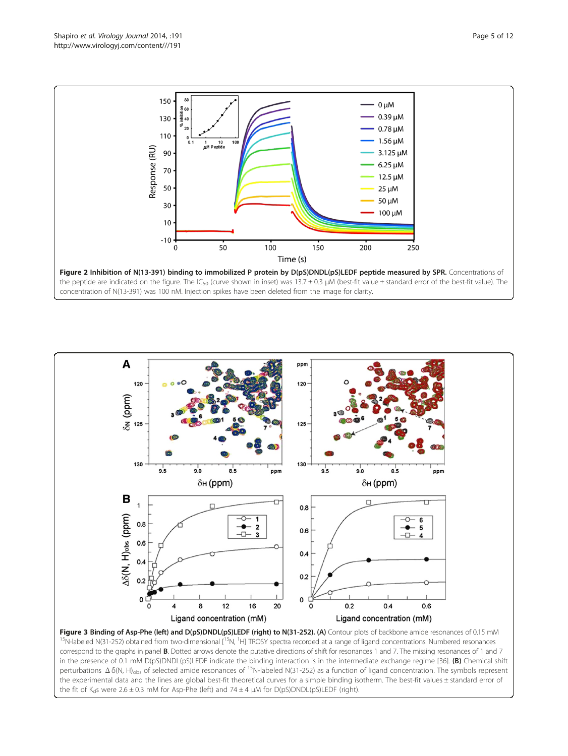<span id="page-4-0"></span>



Figure 3 Binding of Asp-Phe (left) and D(pS)DNDL(pS)LEDF (right) to N(31-252). (A) Contour plots of backbone amide resonances of 0.15 mM <sup>15</sup>N-labeled N(31-252) obtained from two-dimensional [<sup>15</sup>N, <sup>1</sup>H] TROSY spectra recorded at a range of ligand concentrations. Numbered resonances correspond to the graphs in panel **B**. Dotted arrows denote the putative directions of shift for resonances 1 and 7. The missing resonances of 1 and 7 in the presence of 0.1 mM D(pS)DNDL(pS)LEDF indicate the binding interaction is in the intermediate exchange regime [[36\]](#page-11-0). (B) Chemical shift perturbations Δδ(N, H)obs of selected amide resonances of 15N-labeled N(31-252) as a function of ligand concentration. The symbols represent the experimental data and the lines are global best-fit theoretical curves for a simple binding isotherm. The best-fit values ± standard error of the fit of K<sub>d</sub>s were  $2.6 \pm 0.3$  mM for Asp-Phe (left) and  $74 \pm 4$  µM for D(pS)DNDL(pS)LEDF (right).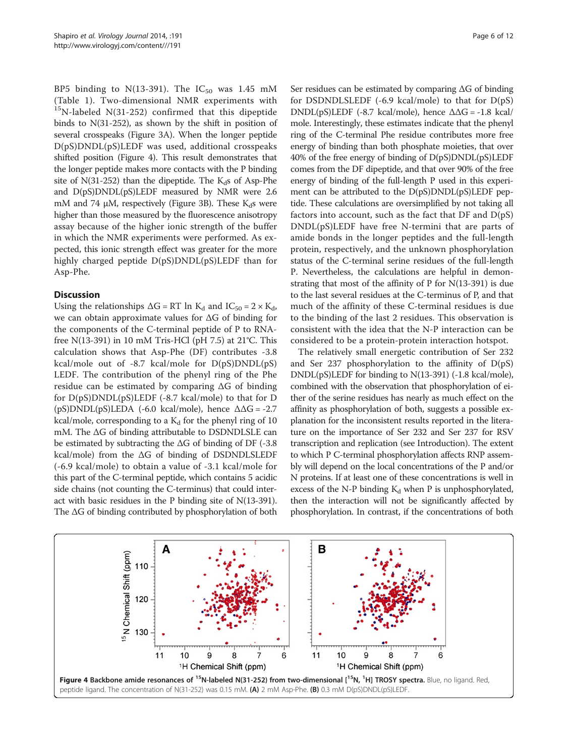BP5 binding to N(13-391). The  $IC_{50}$  was 1.45 mM (Table [1\)](#page-3-0). Two-dimensional NMR experiments with  $15$ N-labeled N(31-252) confirmed that this dipeptide binds to N(31-252), as shown by the shift in position of several crosspeaks (Figure [3](#page-4-0)A). When the longer peptide D(pS)DNDL(pS)LEDF was used, additional crosspeaks shifted position (Figure 4). This result demonstrates that the longer peptide makes more contacts with the P binding site of  $N(31-252)$  than the dipeptide. The  $K<sub>d</sub>$ s of Asp-Phe and D(pS)DNDL(pS)LEDF measured by NMR were 2.6 mM and 74  $\mu$ M, respectively (Figure [3](#page-4-0)B). These K<sub>d</sub>s were higher than those measured by the fluorescence anisotropy assay because of the higher ionic strength of the buffer in which the NMR experiments were performed. As expected, this ionic strength effect was greater for the more highly charged peptide  $D(pS)DNDL(pS)LEDF$  than for Asp-Phe.

#### **Discussion**

Using the relationships  $\Delta G = RT \ln K_d$  and  $IC_{50} = 2 \times K_d$ , we can obtain approximate values for ΔG of binding for the components of the C-terminal peptide of P to RNAfree N(13-391) in 10 mM Tris-HCl (pH 7.5) at 21°C. This calculation shows that Asp-Phe (DF) contributes -3.8 kcal/mole out of -8.7 kcal/mole for D(pS)DNDL(pS) LEDF. The contribution of the phenyl ring of the Phe residue can be estimated by comparing ΔG of binding for D(pS)DNDL(pS)LEDF (-8.7 kcal/mole) to that for D (pS)DNDL(pS)LEDA (-6.0 kcal/mole), hence  $\Delta\Delta G = -2.7$ kcal/mole, corresponding to a  $K_d$  for the phenyl ring of 10 mM. The ΔG of binding attributable to DSDNDLSLE can be estimated by subtracting the  $\Delta G$  of binding of DF (-3.8) kcal/mole) from the ΔG of binding of DSDNDLSLEDF (-6.9 kcal/mole) to obtain a value of -3.1 kcal/mole for this part of the C-terminal peptide, which contains 5 acidic side chains (not counting the C-terminus) that could interact with basic residues in the P binding site of N(13-391). The ΔG of binding contributed by phosphorylation of both Ser residues can be estimated by comparing ΔG of binding for DSDNDLSLEDF  $(-6.9 \text{ kcal/mole})$  to that for  $D(pS)$ DNDL(pS)LEDF (-8.7 kcal/mole), hence  $\Delta\Delta G = -1.8$  kcal/ mole. Interestingly, these estimates indicate that the phenyl ring of the C-terminal Phe residue contributes more free energy of binding than both phosphate moieties, that over 40% of the free energy of binding of D(pS)DNDL(pS)LEDF comes from the DF dipeptide, and that over 90% of the free energy of binding of the full-length P used in this experiment can be attributed to the  $D(pS)DNDL(pS)LEDF$  peptide. These calculations are oversimplified by not taking all factors into account, such as the fact that  $DF$  and  $D(pS)$ DNDL(pS)LEDF have free N-termini that are parts of amide bonds in the longer peptides and the full-length protein, respectively, and the unknown phosphorylation status of the C-terminal serine residues of the full-length P. Nevertheless, the calculations are helpful in demonstrating that most of the affinity of P for N(13-391) is due to the last several residues at the C-terminus of P, and that much of the affinity of these C-terminal residues is due to the binding of the last 2 residues. This observation is consistent with the idea that the N-P interaction can be considered to be a protein-protein interaction hotspot.

The relatively small energetic contribution of Ser 232 and Ser 237 phosphorylation to the affinity of D(pS) DNDL(pS)LEDF for binding to N(13-391) (-1.8 kcal/mole), combined with the observation that phosphorylation of either of the serine residues has nearly as much effect on the affinity as phosphorylation of both, suggests a possible explanation for the inconsistent results reported in the literature on the importance of Ser 232 and Ser 237 for RSV transcription and replication (see Introduction). The extent to which P C-terminal phosphorylation affects RNP assembly will depend on the local concentrations of the P and/or N proteins. If at least one of these concentrations is well in excess of the N-P binding  $K_d$  when P is unphosphorylated, then the interaction will not be significantly affected by phosphorylation. In contrast, if the concentrations of both

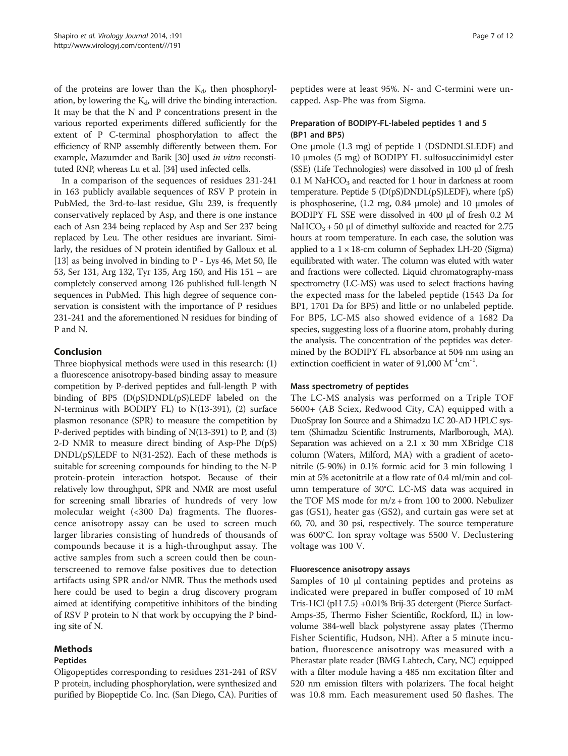of the proteins are lower than the  $K_d$ , then phosphorylation, by lowering the  $K_d$ , will drive the binding interaction. It may be that the N and P concentrations present in the various reported experiments differed sufficiently for the extent of P C-terminal phosphorylation to affect the efficiency of RNP assembly differently between them. For example, Mazumder and Barik [\[30\]](#page-11-0) used in vitro reconstituted RNP, whereas Lu et al. [[34](#page-11-0)] used infected cells.

In a comparison of the sequences of residues 231-241 in 163 publicly available sequences of RSV P protein in PubMed, the 3rd-to-last residue, Glu 239, is frequently conservatively replaced by Asp, and there is one instance each of Asn 234 being replaced by Asp and Ser 237 being replaced by Leu. The other residues are invariant. Similarly, the residues of N protein identified by Galloux et al. [[13](#page-10-0)] as being involved in binding to P - Lys 46, Met 50, Ile 53, Ser 131, Arg 132, Tyr 135, Arg 150, and His 151 – are completely conserved among 126 published full-length N sequences in PubMed. This high degree of sequence conservation is consistent with the importance of P residues 231-241 and the aforementioned N residues for binding of P and N.

# Conclusion

Three biophysical methods were used in this research: (1) a fluorescence anisotropy-based binding assay to measure competition by P-derived peptides and full-length P with binding of BP5 (D(pS)DNDL(pS)LEDF labeled on the N-terminus with BODIPY FL) to N(13-391), (2) surface plasmon resonance (SPR) to measure the competition by P-derived peptides with binding of N(13-391) to P, and (3) 2-D NMR to measure direct binding of Asp-Phe  $D(pS)$ DNDL(pS)LEDF to N(31-252). Each of these methods is suitable for screening compounds for binding to the N-P protein-protein interaction hotspot. Because of their relatively low throughput, SPR and NMR are most useful for screening small libraries of hundreds of very low molecular weight (<300 Da) fragments. The fluorescence anisotropy assay can be used to screen much larger libraries consisting of hundreds of thousands of compounds because it is a high-throughput assay. The active samples from such a screen could then be counterscreened to remove false positives due to detection artifacts using SPR and/or NMR. Thus the methods used here could be used to begin a drug discovery program aimed at identifying competitive inhibitors of the binding of RSV P protein to N that work by occupying the P binding site of N.

# Methods

# Peptides

Oligopeptides corresponding to residues 231-241 of RSV P protein, including phosphorylation, were synthesized and purified by Biopeptide Co. Inc. (San Diego, CA). Purities of peptides were at least 95%. N- and C-termini were uncapped. Asp-Phe was from Sigma.

# Preparation of BODIPY-FL-labeled peptides 1 and 5 (BP1 and BP5)

One μmole (1.3 mg) of peptide 1 (DSDNDLSLEDF) and 10 μmoles (5 mg) of BODIPY FL sulfosuccinimidyl ester (SSE) (Life Technologies) were dissolved in 100 μl of fresh 0.1 M NaHCO<sub>3</sub> and reacted for 1 hour in darkness at room temperature. Peptide 5 (D(pS)DNDL(pS)LEDF), where (pS) is phosphoserine, (1.2 mg, 0.84 μmole) and 10 μmoles of BODIPY FL SSE were dissolved in 400 μl of fresh 0.2 M NaHCO<sub>3</sub> + 50 μl of dimethyl sulfoxide and reacted for 2.75 hours at room temperature. In each case, the solution was applied to a  $1 \times 18$ -cm column of Sephadex LH-20 (Sigma) equilibrated with water. The column was eluted with water and fractions were collected. Liquid chromatography-mass spectrometry (LC-MS) was used to select fractions having the expected mass for the labeled peptide (1543 Da for BP1, 1701 Da for BP5) and little or no unlabeled peptide. For BP5, LC-MS also showed evidence of a 1682 Da species, suggesting loss of a fluorine atom, probably during the analysis. The concentration of the peptides was determined by the BODIPY FL absorbance at 504 nm using an extinction coefficient in water of 91,000  $M^{-1}cm^{-1}$ .

#### Mass spectrometry of peptides

The LC-MS analysis was performed on a Triple TOF 5600+ (AB Sciex, Redwood City, CA) equipped with a DuoSpray Ion Source and a Shimadzu LC 20-AD HPLC system (Shimadzu Scientific Instruments, Marlborough, MA). Separation was achieved on a 2.1 x 30 mm XBridge C18 column (Waters, Milford, MA) with a gradient of acetonitrile (5-90%) in 0.1% formic acid for 3 min following 1 min at 5% acetonitrile at a flow rate of 0.4 ml/min and column temperature of 30°C. LC-MS data was acquired in the TOF MS mode for m/z + from 100 to 2000. Nebulizer gas (GS1), heater gas (GS2), and curtain gas were set at 60, 70, and 30 psi, respectively. The source temperature was 600°C. Ion spray voltage was 5500 V. Declustering voltage was 100 V.

# Fluorescence anisotropy assays

Samples of 10 μl containing peptides and proteins as indicated were prepared in buffer composed of 10 mM Tris-HCl (pH 7.5) +0.01% Brij-35 detergent (Pierce Surfact-Amps-35, Thermo Fisher Scientific, Rockford, IL) in lowvolume 384-well black polystyrene assay plates (Thermo Fisher Scientific, Hudson, NH). After a 5 minute incubation, fluorescence anisotropy was measured with a Pherastar plate reader (BMG Labtech, Cary, NC) equipped with a filter module having a 485 nm excitation filter and 520 nm emission filters with polarizers. The focal height was 10.8 mm. Each measurement used 50 flashes. The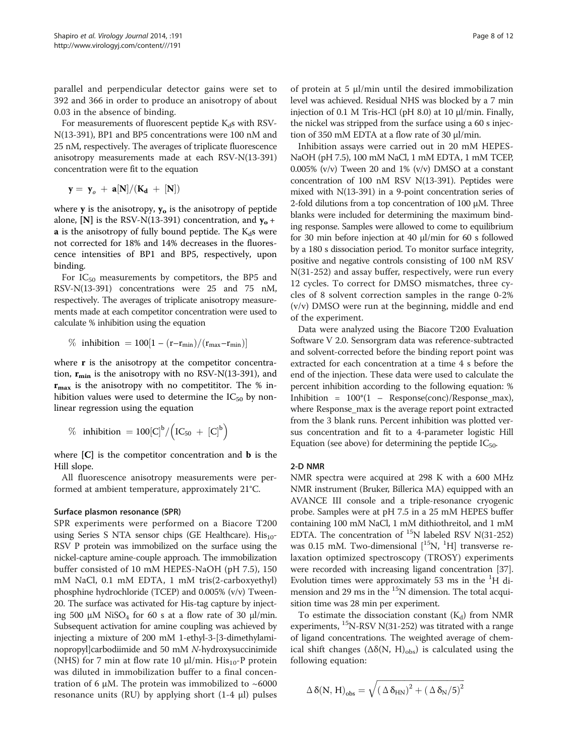parallel and perpendicular detector gains were set to 392 and 366 in order to produce an anisotropy of about 0.03 in the absence of binding.

For measurements of fluorescent peptide  $K_d$ s with RSV-N(13-391), BP1 and BP5 concentrations were 100 nM and 25 nM, respectively. The averages of triplicate fluorescence anisotropy measurements made at each RSV-N(13-391) concentration were fit to the equation

$$
y = \, y_o \, + \, a[N]/(K_d \, + \, [N])
$$

where  $y$  is the anisotropy,  $y_0$  is the anisotropy of peptide alone, [N] is the RSV-N(13-391) concentration, and  $y_0$  +  $\bf{a}$  is the anisotropy of fully bound peptide. The K<sub>d</sub>s were not corrected for 18% and 14% decreases in the fluorescence intensities of BP1 and BP5, respectively, upon binding.

For  $IC_{50}$  measurements by competitors, the BP5 and RSV-N(13-391) concentrations were 25 and 75 nM, respectively. The averages of triplicate anisotropy measurements made at each competitor concentration were used to calculate % inhibition using the equation

$$
\% \text{ inhibition} = 100[1 - (r - r_{min})/(r_{max} - r_{min})]
$$

where **r** is the anisotropy at the competitor concentration,  $r_{\min}$  is the anisotropy with no RSV-N(13-391), and  $r_{\text{max}}$  is the anisotropy with no competititor. The % inhibition values were used to determine the  $IC_{50}$  by nonlinear regression using the equation

$$
\%\text{ inhibition }=100[C]^{b}/\Big(IC_{50}~+~[C]^{b}\Big)
$$

where  $[C]$  is the competitor concentration and **b** is the Hill slope.

All fluorescence anisotropy measurements were performed at ambient temperature, approximately 21°C.

#### Surface plasmon resonance (SPR)

SPR experiments were performed on a Biacore T200 using Series S NTA sensor chips (GE Healthcare).  $His_{10}$ -RSV P protein was immobilized on the surface using the nickel-capture amine-couple approach. The immobilization buffer consisted of 10 mM HEPES-NaOH (pH 7.5), 150 mM NaCl, 0.1 mM EDTA, 1 mM tris(2-carboxyethyl) phosphine hydrochloride (TCEP) and 0.005% (v/v) Tween-20. The surface was activated for His-tag capture by injecting 500 μM NiSO<sub>4</sub> for 60 s at a flow rate of 30 μl/min. Subsequent activation for amine coupling was achieved by injecting a mixture of 200 mM 1-ethyl-3-[3-dimethylaminopropyl]carbodiimide and 50 mM N-hydroxysuccinimide (NHS) for 7 min at flow rate 10  $\mu$ l/min. His<sub>10</sub>-P protein was diluted in immobilization buffer to a final concentration of 6 μM. The protein was immobilized to  $~5000$ resonance units (RU) by applying short (1-4 μl) pulses

of protein at 5 μl/min until the desired immobilization level was achieved. Residual NHS was blocked by a 7 min injection of 0.1 M Tris-HCl (pH 8.0) at 10 μl/min. Finally, the nickel was stripped from the surface using a 60 s injection of 350 mM EDTA at a flow rate of 30 μl/min.

Inhibition assays were carried out in 20 mM HEPES-NaOH (pH 7.5), 100 mM NaCl, 1 mM EDTA, 1 mM TCEP, 0.005% ( $v/v$ ) Tween 20 and 1% ( $v/v$ ) DMSO at a constant concentration of 100 nM RSV N(13-391). Peptides were mixed with N(13-391) in a 9-point concentration series of 2-fold dilutions from a top concentration of 100 μM. Three blanks were included for determining the maximum binding response. Samples were allowed to come to equilibrium for 30 min before injection at 40 μl/min for 60 s followed by a 180 s dissociation period. To monitor surface integrity, positive and negative controls consisting of 100 nM RSV N(31-252) and assay buffer, respectively, were run every 12 cycles. To correct for DMSO mismatches, three cycles of 8 solvent correction samples in the range 0-2% (v/v) DMSO were run at the beginning, middle and end of the experiment.

Data were analyzed using the Biacore T200 Evaluation Software V 2.0. Sensorgram data was reference-subtracted and solvent-corrected before the binding report point was extracted for each concentration at a time 4 s before the end of the injection. These data were used to calculate the percent inhibition according to the following equation: % Inhibition =  $100*(1 -$  Response(conc)/Response\_max), where Response\_max is the average report point extracted from the 3 blank runs. Percent inhibition was plotted versus concentration and fit to a 4-parameter logistic Hill Equation (see above) for determining the peptide  $IC_{50}$ .

#### 2-D NMR

NMR spectra were acquired at 298 K with a 600 MHz NMR instrument (Bruker, Billerica MA) equipped with an AVANCE III console and a triple-resonance cryogenic probe. Samples were at pH 7.5 in a 25 mM HEPES buffer containing 100 mM NaCl, 1 mM dithiothreitol, and 1 mM EDTA. The concentration of  $^{15}N$  labeled RSV N(31-252) was 0.15 mM. Two-dimensional  $[$ <sup>15</sup>N, <sup>1</sup>H] transverse relaxation optimized spectroscopy (TROSY) experiments were recorded with increasing ligand concentration [[37](#page-11-0)]. Evolution times were approximately 53 ms in the <sup>1</sup> H dimension and 29 ms in the  $15N$  dimension. The total acquisition time was 28 min per experiment.

To estimate the dissociation constant  $(K_d)$  from NMR experiments,  $^{15}N-RSV N(31-252)$  was titrated with a range of ligand concentrations. The weighted average of chemical shift changes ( $\Delta \delta(N, H)_{obs}$ ) is calculated using the following equation:

$$
\Delta\,\delta(N,\,H)_{obs}=\sqrt{\left(\,\Delta\,\delta_{HN}\right)^2+\left(\,\Delta\,\delta_N/5\right)^2}
$$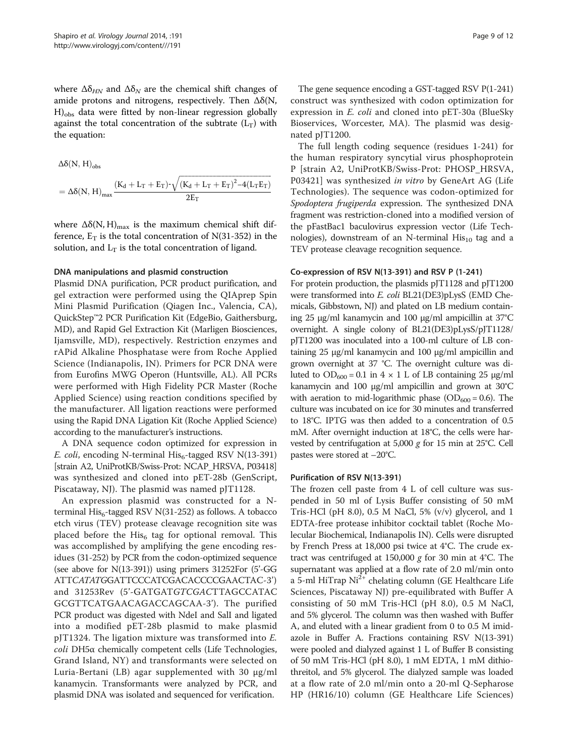where  $\Delta \delta_{HN}$  and  $\Delta \delta_N$  are the chemical shift changes of amide protons and nitrogens, respectively. Then  $\Delta\delta(N,$ H)<sub>obs</sub> data were fitted by non-linear regression globally against the total concentration of the subtrate  $(L_T)$  with the equation:

 $\Delta\delta(N, H)_{obs}$ 

$$
= \Delta \delta(N,\,H)_\text{max} \frac{(K_\text{d}+L_\text{T}+E_\text{T})^{\text{-}}\sqrt{\left(K_\text{d}+L_\text{T}+E_\text{T}\right)^2-4\left(L_\text{T}E_\text{T}\right)}}{2E_\text{T}}
$$

where  $\Delta\delta(N, H)_{\text{max}}$  is the maximum chemical shift difference,  $E_T$  is the total concentration of N(31-352) in the solution, and  $L_T$  is the total concentration of ligand.

#### DNA manipulations and plasmid construction

Plasmid DNA purification, PCR product purification, and gel extraction were performed using the QIAprep Spin Mini Plasmid Purification (Qiagen Inc., Valencia, CA), QuickStep™2 PCR Purification Kit (EdgeBio, Gaithersburg, MD), and Rapid Gel Extraction Kit (Marligen Biosciences, Ijamsville, MD), respectively. Restriction enzymes and rAPid Alkaline Phosphatase were from Roche Applied Science (Indianapolis, IN). Primers for PCR DNA were from Eurofins MWG Operon (Huntsville, AL). All PCRs were performed with High Fidelity PCR Master (Roche Applied Science) using reaction conditions specified by the manufacturer. All ligation reactions were performed using the Rapid DNA Ligation Kit (Roche Applied Science) according to the manufacturer's instructions.

A DNA sequence codon optimized for expression in E. coli, encoding N-terminal  $His<sub>6</sub>$ -tagged RSV N(13-391) [strain A2, UniProtKB/Swiss-Prot: NCAP\_HRSVA, P03418] was synthesized and cloned into pET-28b (GenScript, Piscataway, NJ). The plasmid was named pJT1128.

An expression plasmid was constructed for a Nterminal  $His<sub>6</sub>$ -tagged RSV N(31-252) as follows. A tobacco etch virus (TEV) protease cleavage recognition site was placed before the His<sub>6</sub> tag for optional removal. This was accomplished by amplifying the gene encoding residues (31-252) by PCR from the codon-optimized sequence (see above for N(13-391)) using primers 31252For (5'-GG ATTCATATGGATTCCCATCGACACCCCGAACTAC-3') and 31253Rev (5'-GATGATGTCGACTTAGCCATAC GCGTTCATGAACAGACCAGCAA-3'). The purified PCR product was digested with NdeI and SalI and ligated into a modified pET-28b plasmid to make plasmid pJT1324. The ligation mixture was transformed into E. coli DH5α chemically competent cells (Life Technologies, Grand Island, NY) and transformants were selected on Luria-Bertani (LB) agar supplemented with 30 μg/ml kanamycin. Transformants were analyzed by PCR, and plasmid DNA was isolated and sequenced for verification.

The gene sequence encoding a GST-tagged RSV P(1-241) construct was synthesized with codon optimization for expression in E. coli and cloned into pET-30a (BlueSky Bioservices, Worcester, MA). The plasmid was designated pJT1200.

The full length coding sequence (residues 1-241) for the human respiratory syncytial virus phosphoprotein P [strain A2, UniProtKB/Swiss-Prot: PHOSP\_HRSVA, P03421] was synthesized in vitro by GeneArt AG (Life Technologies). The sequence was codon-optimized for Spodoptera frugiperda expression. The synthesized DNA fragment was restriction-cloned into a modified version of the pFastBac1 baculovirus expression vector (Life Technologies), downstream of an N-terminal  $His_{10}$  tag and a TEV protease cleavage recognition sequence.

#### Co-expression of RSV N(13-391) and RSV P (1-241)

For protein production, the plasmids pJT1128 and pJT1200 were transformed into E. coli BL21(DE3)pLysS (EMD Chemicals, Gibbstown, NJ) and plated on LB medium containing 25 μg/ml kanamycin and 100 μg/ml ampicillin at 37°C overnight. A single colony of BL21(DE3)pLysS/pJT1128/ pJT1200 was inoculated into a 100-ml culture of LB containing 25 μg/ml kanamycin and 100 μg/ml ampicillin and grown overnight at 37 °C. The overnight culture was diluted to  $OD<sub>600</sub> = 0.1$  in 4 × 1 L of LB containing 25 μg/ml kanamycin and 100 μg/ml ampicillin and grown at 30°C with aeration to mid-logarithmic phase ( $OD<sub>600</sub> = 0.6$ ). The culture was incubated on ice for 30 minutes and transferred to 18°C. IPTG was then added to a concentration of 0.5 mM. After overnight induction at 18°C, the cells were harvested by centrifugation at 5,000 g for 15 min at 25°C. Cell pastes were stored at –20°C.

#### Purification of RSV N(13-391)

The frozen cell paste from 4 L of cell culture was suspended in 50 ml of Lysis Buffer consisting of 50 mM Tris-HCl (pH 8.0), 0.5 M NaCl, 5% (v/v) glycerol, and 1 EDTA-free protease inhibitor cocktail tablet (Roche Molecular Biochemical, Indianapolis IN). Cells were disrupted by French Press at 18,000 psi twice at 4°C. The crude extract was centrifuged at 150,000 g for 30 min at 4°C. The supernatant was applied at a flow rate of 2.0 ml/min onto a 5-ml HiTrap  $Ni<sup>2+</sup>$  chelating column (GE Healthcare Life Sciences, Piscataway NJ) pre-equilibrated with Buffer A consisting of 50 mM Tris-HCl (pH 8.0), 0.5 M NaCl, and 5% glycerol. The column was then washed with Buffer A, and eluted with a linear gradient from 0 to 0.5 M imidazole in Buffer A. Fractions containing RSV N(13-391) were pooled and dialyzed against 1 L of Buffer B consisting of 50 mM Tris-HCl (pH 8.0), 1 mM EDTA, 1 mM dithiothreitol, and 5% glycerol. The dialyzed sample was loaded at a flow rate of 2.0 ml/min onto a 20-ml Q-Sepharose HP (HR16/10) column (GE Healthcare Life Sciences)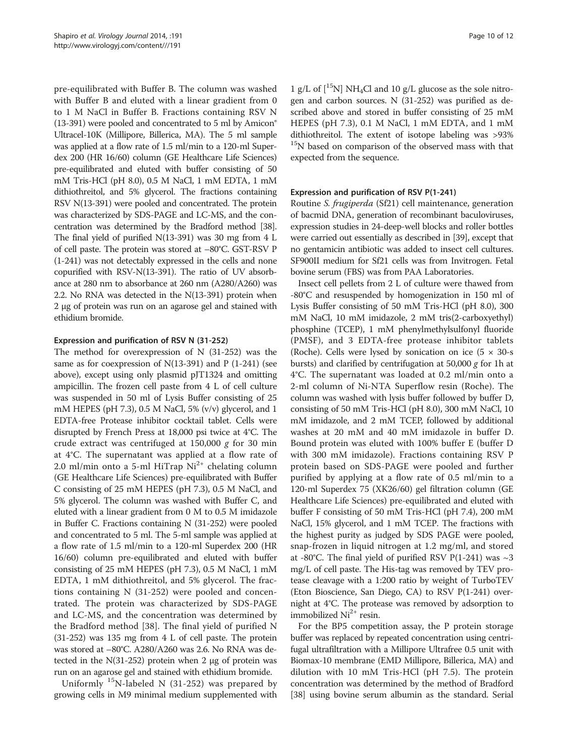pre-equilibrated with Buffer B. The column was washed with Buffer B and eluted with a linear gradient from 0 to 1 M NaCl in Buffer B. Fractions containing RSV N (13-391) were pooled and concentrated to 5 ml by Amicon® Ultracel-10K (Millipore, Billerica, MA). The 5 ml sample was applied at a flow rate of 1.5 ml/min to a 120-ml Superdex 200 (HR 16/60) column (GE Healthcare Life Sciences) pre-equilibrated and eluted with buffer consisting of 50 mM Tris-HCl (pH 8.0), 0.5 M NaCl, 1 mM EDTA, 1 mM dithiothreitol, and 5% glycerol. The fractions containing RSV N(13-391) were pooled and concentrated. The protein was characterized by SDS-PAGE and LC-MS, and the concentration was determined by the Bradford method [\[38](#page-11-0)]. The final yield of purified N(13-391) was 30 mg from 4 L of cell paste. The protein was stored at –80°C. GST-RSV P (1-241) was not detectably expressed in the cells and none copurified with RSV-N(13-391). The ratio of UV absorbance at 280 nm to absorbance at 260 nm (A280/A260) was 2.2. No RNA was detected in the N(13-391) protein when 2 μg of protein was run on an agarose gel and stained with ethidium bromide.

#### Expression and purification of RSV N (31-252)

The method for overexpression of N (31-252) was the same as for coexpression of N(13-391) and P (1-241) (see above), except using only plasmid pJT1324 and omitting ampicillin. The frozen cell paste from 4 L of cell culture was suspended in 50 ml of Lysis Buffer consisting of 25 mM HEPES (pH 7.3), 0.5 M NaCl, 5% (v/v) glycerol, and 1 EDTA-free Protease inhibitor cocktail tablet. Cells were disrupted by French Press at 18,000 psi twice at 4°C. The crude extract was centrifuged at  $150,000$  g for 30 min at 4°C. The supernatant was applied at a flow rate of 2.0 ml/min onto a 5-ml HiTrap  $Ni<sup>2+</sup>$  chelating column (GE Healthcare Life Sciences) pre-equilibrated with Buffer C consisting of 25 mM HEPES (pH 7.3), 0.5 M NaCl, and 5% glycerol. The column was washed with Buffer C, and eluted with a linear gradient from 0 M to 0.5 M imidazole in Buffer C. Fractions containing N (31-252) were pooled and concentrated to 5 ml. The 5-ml sample was applied at a flow rate of 1.5 ml/min to a 120-ml Superdex 200 (HR 16/60) column pre-equilibrated and eluted with buffer consisting of 25 mM HEPES (pH 7.3), 0.5 M NaCl, 1 mM EDTA, 1 mM dithiothreitol, and 5% glycerol. The fractions containing N (31-252) were pooled and concentrated. The protein was characterized by SDS-PAGE and LC-MS, and the concentration was determined by the Bradford method [\[38](#page-11-0)]. The final yield of purified N (31-252) was 135 mg from 4 L of cell paste. The protein was stored at –80°C. A280/A260 was 2.6. No RNA was detected in the N(31-252) protein when 2 μg of protein was run on an agarose gel and stained with ethidium bromide.

Uniformly 15N-labeled N (31-252) was prepared by growing cells in M9 minimal medium supplemented with

1 g/L of  $\left| \right|^{15}$ N] NH<sub>4</sub>Cl and 10 g/L glucose as the sole nitrogen and carbon sources. N (31-252) was purified as described above and stored in buffer consisting of 25 mM HEPES (pH 7.3), 0.1 M NaCl, 1 mM EDTA, and 1 mM dithiothreitol. The extent of isotope labeling was >93% <sup>15</sup>N based on comparison of the observed mass with that expected from the sequence.

#### Expression and purification of RSV P(1-241)

Routine S. frugiperda (Sf21) cell maintenance, generation of bacmid DNA, generation of recombinant baculoviruses, expression studies in 24-deep-well blocks and roller bottles were carried out essentially as described in [\[39](#page-11-0)], except that no gentamicin antibiotic was added to insect cell cultures. SF900II medium for Sf21 cells was from Invitrogen. Fetal bovine serum (FBS) was from PAA Laboratories.

Insect cell pellets from 2 L of culture were thawed from -80°C and resuspended by homogenization in 150 ml of Lysis Buffer consisting of 50 mM Tris-HCl (pH 8.0), 300 mM NaCl, 10 mM imidazole, 2 mM tris(2-carboxyethyl) phosphine (TCEP), 1 mM phenylmethylsulfonyl fluoride (PMSF), and 3 EDTA-free protease inhibitor tablets (Roche). Cells were lysed by sonication on ice  $(5 \times 30)$ -s bursts) and clarified by centrifugation at 50,000  $g$  for 1h at 4°C. The supernatant was loaded at 0.2 ml/min onto a 2-ml column of Ni-NTA Superflow resin (Roche). The column was washed with lysis buffer followed by buffer D, consisting of 50 mM Tris-HCl (pH 8.0), 300 mM NaCl, 10 mM imidazole, and 2 mM TCEP, followed by additional washes at 20 mM and 40 mM imidazole in buffer D. Bound protein was eluted with 100% buffer E (buffer D with 300 mM imidazole). Fractions containing RSV P protein based on SDS-PAGE were pooled and further purified by applying at a flow rate of 0.5 ml/min to a 120-ml Superdex 75 (XK26/60) gel filtration column (GE Healthcare Life Sciences) pre-equilibrated and eluted with buffer F consisting of 50 mM Tris-HCl (pH 7.4), 200 mM NaCl, 15% glycerol, and 1 mM TCEP. The fractions with the highest purity as judged by SDS PAGE were pooled, snap-frozen in liquid nitrogen at 1.2 mg/ml, and stored at -80°C. The final yield of purified RSV P(1-241) was  $\sim$ 3 mg/L of cell paste. The His-tag was removed by TEV protease cleavage with a 1:200 ratio by weight of TurboTEV (Eton Bioscience, San Diego, CA) to RSV P(1-241) overnight at 4°C. The protease was removed by adsorption to immobilized  $Ni<sup>2+</sup>$  resin.

For the BP5 competition assay, the P protein storage buffer was replaced by repeated concentration using centrifugal ultrafiltration with a Millipore Ultrafree 0.5 unit with Biomax-10 membrane (EMD Millipore, Billerica, MA) and dilution with 10 mM Tris-HCl (pH 7.5). The protein concentration was determined by the method of Bradford [[38](#page-11-0)] using bovine serum albumin as the standard. Serial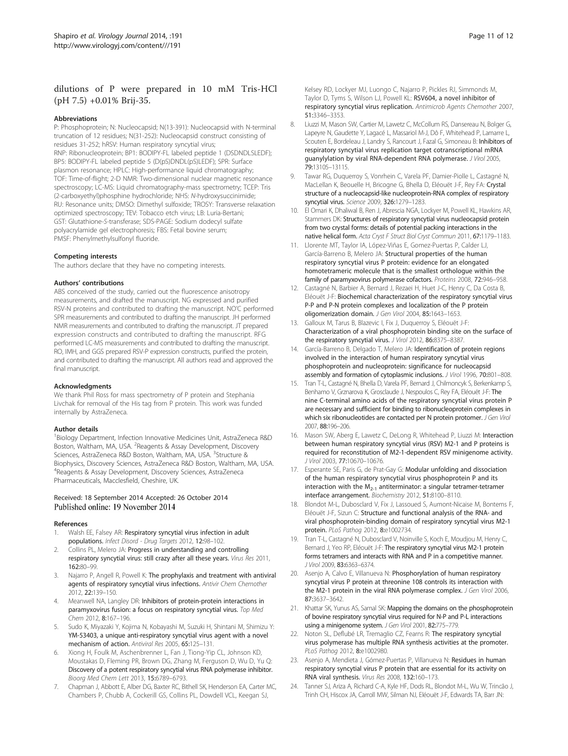# <span id="page-10-0"></span>dilutions of P were prepared in 10 mM Tris-HCl (pH 7.5) +0.01% Brij-35.

#### Abbreviations

P: Phosphoprotein; N: Nucleocapsid; N(13-391): Nucleocapsid with N-terminal truncation of 12 residues; N(31-252): Nucleocapsid construct consisting of residues 31-252; hRSV: Human respiratory syncytial virus; RNP: Ribonucleoprotein; BP1: BODIPY-FL labeled peptide 1 (DSDNDLSLEDF); BP5: BODIPY-FL labeled peptide 5 (D(pS)DNDL(pS)LEDF); SPR: Surface plasmon resonance; HPLC: High-performance liquid chromatography; TOF: Time-of-flight; 2-D NMR: Two-dimensional nuclear magnetic resonance spectroscopy; LC-MS: Liquid chromatography-mass spectrometry; TCEP: Tris (2-carboxyethyl)phosphine hydrochloride; NHS: N-hydroxysuccinimide; RU: Resonance units; DMSO: Dimethyl sulfoxide; TROSY: Transverse relaxation optimized spectroscopy; TEV: Tobacco etch virus; LB: Luria-Bertani; GST: Glutathione-S-transferase; SDS-PAGE: Sodium dodecyl sulfate polyacrylamide gel electrophoresis; FBS: Fetal bovine serum; PMSF: Phenylmethylsulfonyl fluoride.

#### Competing interests

The authors declare that they have no competing interests.

#### Authors' contributions

ABS conceived of the study, carried out the fluorescence anisotropy measurements, and drafted the manuscript. NG expressed and purified RSV-N proteins and contributed to drafting the manuscript. NO'C performed SPR measurements and contributed to drafting the manuscript. JH performed NMR measurements and contributed to drafting the manuscript. JT prepared expression constructs and contributed to drafting the manuscript. RFG performed LC-MS measurements and contributed to drafting the manuscript. RO, IMH, and GGS prepared RSV-P expression constructs, purified the protein, and contributed to drafting the manuscript. All authors read and approved the final manuscript.

#### Acknowledgments

We thank Phil Ross for mass spectrometry of P protein and Stephania Livchak for removal of the His tag from P protein. This work was funded internally by AstraZeneca.

#### Author details

<sup>1</sup>Biology Department, Infection Innovative Medicines Unit, AstraZeneca R&D Boston, Waltham, MA, USA. <sup>2</sup>Reagents & Assay Development, Discovery Sciences, AstraZeneca R&D Boston, Waltham, MA, USA. <sup>3</sup>Structure & Biophysics, Discovery Sciences, AstraZeneca R&D Boston, Waltham, MA, USA. 4 Reagents & Assay Development, Discovery Sciences, AstraZeneca Pharmaceuticals, Macclesfield, Cheshire, UK.

# Received: 18 September 2014 Accepted: 26 October 2014

#### References

- Walsh EE, Falsey AR: Respiratory syncytial virus infection in adult populations. Infect Disord - Drug Targets 2012, 12:98–102.
- 2. Collins PL, Melero JA: Progress in understanding and controlling respiratory syncytial virus: still crazy after all these years. Virus Res 2011, 162:80–99.
- 3. Najarro P, Angell R, Powell K: The prophylaxis and treatment with antiviral agents of respiratory syncytial virus infections. Antivir Chem Chemother 2012, 22:139–150.
- 4. Meanwell NA, Langley DR: Inhibitors of protein-protein interactions in paramyxovirus fusion: a focus on respiratory syncytial virus. Top Med Chem 2012, 8:167–196.
- 5. Sudo K, Miyazaki Y, Kojima N, Kobayashi M, Suzuki H, Shintani M, Shimizu Y: YM-53403, a unique anti-respiratory syncytial virus agent with a novel mechanism of action. Antiviral Res 2005, 65:125–131.
- 6. Xiong H, Foulk M, Aschenbrenner L, Fan J, Tiong-Yip CL, Johnson KD, Moustakas D, Fleming PR, Brown DG, Zhang M, Ferguson D, Wu D, Yu Q: Discovery of a potent respiratory syncytial virus RNA polymerase inhibitor. Bioorg Med Chem Lett 2013, 15:6789–6793.
- 7. Chapman J, Abbott E, Alber DG, Baxter RC, Bithell SK, Henderson EA, Carter MC, Chambers P, Chubb A, Cockerill GS, Collins PL, Dowdell VCL, Keegan SJ,

Kelsey RD, Lockyer MJ, Luongo C, Najarro P, Pickles RJ, Simmonds M, Taylor D, Tyms S, Wilson LJ, Powell KL: RSV604, a novel inhibitor of respiratory syncytial virus replication. Antimicrob Agents Chemother 2007, 51:3346–3353.

- 8. Liuzzi M, Mason SW, Cartier M, Lawetz C, McCollum RS, Dansereau N, Bolger G, Lapeyre N, Gaudette Y, Lagacé L, Massariol M-J, Dô F, Whitehead P, Lamarre L, Scouten E, Bordeleau J, Landry S, Rancourt J, Fazal G, Simoneau B: Inhibitors of respiratory syncytial virus replication target cotranscriptional mRNA guanylylation by viral RNA-dependent RNA polymerase. J Virol 2005, 79:13105–13115.
- Tawar RG, Duquerroy S, Vonrhein C, Varela PF, Damier-Piolle L, Castagné N, MacLellan K, Beouelle H, Bricogne G, Bhella D, Eléouët J-F, Rey FA: Crystal structure of a nucleocapsid-like nucleoprotein-RNA complex of respiratory syncytial virus. Science 2009, 326:1279–1283.
- 10. El Omari K, Dhaliwal B, Ren J, Abrescia NGA, Lockyer M, Powell KL, Hawkins AR, Stammers DK: Structures of respiratory syncytial virus nucleocapsid protein from two crystal forms: details of potential packing interactions in the native helical form. Acta Cryst F Struct Biol Cryst Commun 2011, 67:1179-1183.
- 11. Llorente MT, Taylor IA, López-Viñas E, Gomez-Puertas P, Calder LJ, García-Barreno B, Melero JA: Structural properties of the human respiratory syncytial virus P protein: evidence for an elongated homotetrameric molecule that is the smallest orthologue within the family of paramyxovirus polymerase cofactors. Proteins 2008, 72:946–958.
- 12. Castagné N, Barbier A, Bernard J, Rezaei H, Huet J-C, Henry C, Da Costa B, Eléouët J-F: Biochemical characterization of the respiratory syncytial virus P-P and P-N protein complexes and localization of the P protein oligomerization domain. J Gen Virol 2004, 85:1643–1653.
- 13. Galloux M, Tarus B, Blazevic I, Fix J, Duquerroy S, Eléouët J-F: Characterization of a viral phosphoprotein binding site on the surface of the respiratory syncytial virus. J Virol 2012, 86:8375-8387.
- 14. García-Barreno B, Delgado T, Melero JA: Identification of protein regions involved in the interaction of human respiratory syncytial virus phosphoprotein and nucleoprotein: significance for nucleocapsid assembly and formation of cytoplasmic inclusions. J Virol 1996, 70:801–808.
- 15. Tran T-L, Castagné N, Bhella D, Varela PF, Bernard J, Chilmoncyk S, Berkenkamp S, Benhamo V, Grznarova K, Grosclaude J, Nespoulos C, Rey FA, Eléouët J-F: The nine C-terminal amino acids of the respiratory syncytial virus protein P are necessary and sufficient for binding to ribonucleoprotein complexes in which six ribonucleotides are contacted per N protein protomer. J Gen Virol 2007, 88:196–206.
- 16. Mason SW, Aberg E, Lawetz C, DeLong R, Whitehead P, Liuzzi M: Interaction between human respiratory syncytial virus (RSV) M2-1 and P proteins is required for reconstitution of M2-1-dependent RSV minigenome activity. J Virol 2003, 77:10670–10676.
- 17. Esperante SE, Paris G, de Prat-Gay G: Modular unfolding and dissociation of the human respiratory syncytial virus phosphoprotein P and its interaction with the  $M_{2-1}$  antiterminator: a singular tetramer-tetramer interface arrangement. Biochemistry 2012, 51:8100–8110.
- 18. Blondot M-L, Dubosclard V, Fix J, Lassoued S, Aumont-Nicaise M, Bontems F, Eléouët J-F, Sizun C: Structure and functional analysis of the RNA- and viral phosphoprotein-binding domain of respiratory syncytial virus M2-1 protein. PLoS Pathog 2012, 8:e1002734.
- 19. Tran T-L, Castagné N, Dubosclard V, Noinville S, Koch E, Moudjou M, Henry C, Bernard J, Yeo RP, Eléouët J-F: The respiratory syncytial virus M2-1 protein forms tetramers and interacts with RNA and P in a competitive manner. J Virol 2009, 83:6363–6374.
- 20. Asenjo A, Calvo E, Villanueva N: Phosphorylation of human respiratory syncytial virus P protein at threonine 108 controls its interaction with the M2-1 protein in the viral RNA polymerase complex. J Gen Virol 2006, 87:3637–3642.
- 21. Khattar SK, Yunus AS, Samal SK: Mapping the domains on the phosphoprotein of bovine respiratory syncytial virus required for N-P and P-L interactions using a minigenome system. J Gen Virol 2001, 82:775-779.
- 22. Noton SL, Deflubé LR, Tremaglio CZ, Fearns R: The respiratory syncytial virus polymerase has multiple RNA synthesis activities at the promoter. PLoS Pathog 2012, 8:e1002980.
- 23. Asenjo A, Mendieta J, Gómez-Puertas P, Villanueva N: Residues in human respiratory syncytial virus P protein that are essential for its activity on RNA viral synthesis. Virus Res 2008, 132:160–173.
- 24. Tanner SJ, Ariza A, Richard C-A, Kyle HF, Dods RL, Blondot M-L, Wu W, Trincão J, Trinh CH, Hiscox JA, Carroll MW, Silman NJ, Eléouët J-F, Edwards TA, Barr JN: